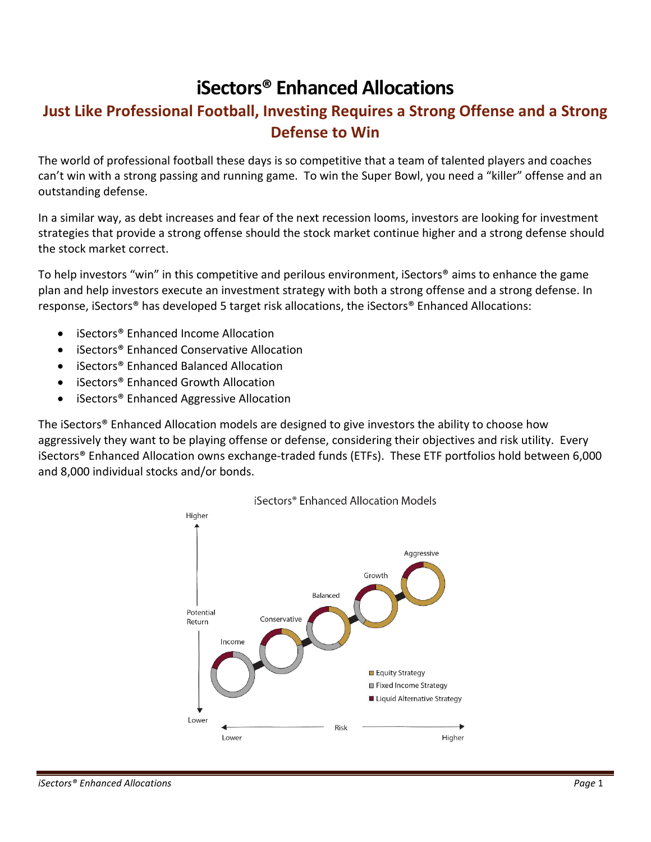# **iSectors® Enhanced Allocations**

## **Just Like Professional Football, Investing Requires a Strong Offense and a Strong Defense to Win**

The world of professional football these days is so competitive that a team of talented players and coaches can't win with a strong passing and running game. To win the Super Bowl, you need a "killer" offense and an outstanding defense.

In a similar way, as debt increases and fear of the next recession looms, investors are looking for investment strategies that provide a strong offense should the stock market continue higher and a strong defense should the stock market correct.

To help investors "win" in this competitive and perilous environment, iSectors® aims to enhance the game plan and help investors execute an investment strategy with both a strong offense and a strong defense. In response, iSectors® has developed 5 target risk allocations, the iSectors® Enhanced Allocations:

- iSectors® Enhanced Income Allocation
- iSectors® Enhanced Conservative Allocation
- iSectors® Enhanced Balanced Allocation
- iSectors® Enhanced Growth Allocation
- iSectors® Enhanced Aggressive Allocation

The iSectors® Enhanced Allocation models are designed to give investors the ability to choose how aggressively they want to be playing offense or defense, considering their objectives and risk utility. Every iSectors® Enhanced Allocation owns exchange-traded funds (ETFs). These ETF portfolios hold between 6,000 and 8,000 individual stocks and/or bonds.



### iSectors® Enhanced Allocation Models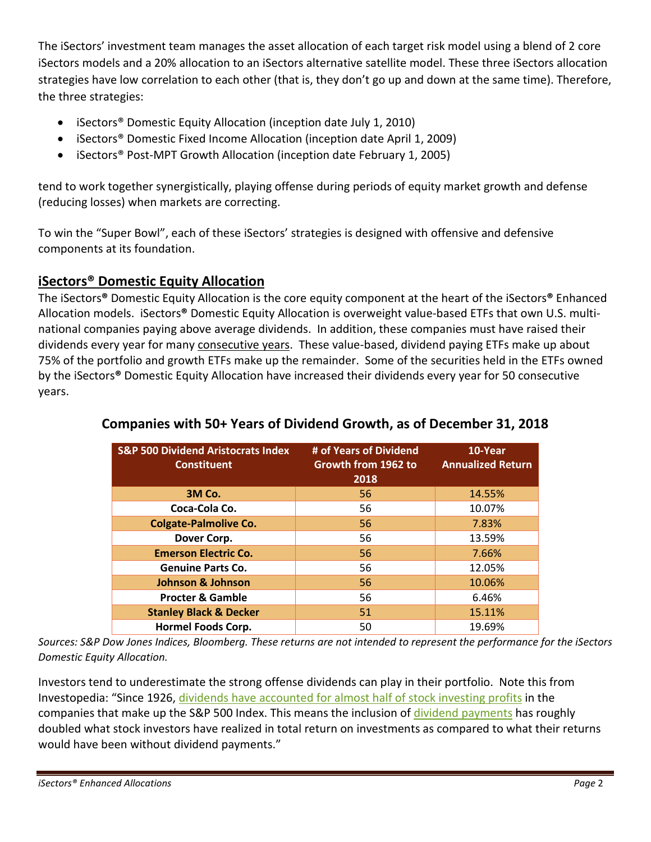The iSectors' investment team manages the asset allocation of each target risk model using a blend of 2 core iSectors models and a 20% allocation to an iSectors alternative satellite model. These three iSectors allocation strategies have low correlation to each other (that is, they don't go up and down at the same time). Therefore, the three strategies:

- iSectors® Domestic Equity Allocation (inception date July 1, 2010)
- iSectors® Domestic Fixed Income Allocation (inception date April 1, 2009)
- iSectors<sup>®</sup> Post-MPT Growth Allocation (inception date February 1, 2005)

tend to work together synergistically, playing offense during periods of equity market growth and defense (reducing losses) when markets are correcting.

To win the "Super Bowl", each of these iSectors' strategies is designed with offensive and defensive components at its foundation.

## **iSectors® Domestic Equity Allocation**

The iSectors**®** Domestic Equity Allocation is the core equity component at the heart of the iSectors**®** Enhanced Allocation models. iSectors**®** Domestic Equity Allocation is overweight value-based ETFs that own U.S. multinational companies paying above average dividends. In addition, these companies must have raised their dividends every year for many consecutive years. These value-based, dividend paying ETFs make up about 75% of the portfolio and growth ETFs make up the remainder. Some of the securities held in the ETFs owned by the iSectors**®** Domestic Equity Allocation have increased their dividends every year for 50 consecutive years.

| <b>S&amp;P 500 Dividend Aristocrats Index</b><br><b>Constituent</b> | # of Years of Dividend<br>Growth from 1962 to<br>2018 | 10-Year<br><b>Annualized Return</b> |
|---------------------------------------------------------------------|-------------------------------------------------------|-------------------------------------|
| 3M Co.                                                              | 56                                                    | 14.55%                              |
| Coca-Cola Co.                                                       | 56                                                    | 10.07%                              |
| <b>Colgate-Palmolive Co.</b>                                        | 56                                                    | 7.83%                               |
| Dover Corp.                                                         | 56                                                    | 13.59%                              |
| <b>Emerson Electric Co.</b>                                         | 56                                                    | 7.66%                               |
| <b>Genuine Parts Co.</b>                                            | 56                                                    | 12.05%                              |
| <b>Johnson &amp; Johnson</b>                                        | 56                                                    | 10.06%                              |
| <b>Procter &amp; Gamble</b>                                         | 56                                                    | 6.46%                               |
| <b>Stanley Black &amp; Decker</b>                                   | 51                                                    | 15.11%                              |
| <b>Hormel Foods Corp.</b>                                           | 50                                                    | 19.69%                              |

## **Companies with 50+ Years of Dividend Growth, as of December 31, 2018**

*Sources: S&P Dow Jones Indices, Bloomberg. These returns are not intended to represent the performance for the iSectors Domestic Equity Allocation.*

Investors tend to underestimate the strong offense dividends can play in their portfolio. Note this from Investopedia: "Since 1926, [dividends have accounted for almost half of stock investing profits](https://www.investopedia.com/articles/investing/091015/5-reasons-why-dividends-matter-investors.asp) in the companies that make up the S&P 500 Index. This means the inclusion of dividend [payments](https://www.investopedia.com/articles/fundamental/03/102903.asp) has roughly doubled what stock investors have realized in total return on investments as compared to what their returns would have been without dividend payments."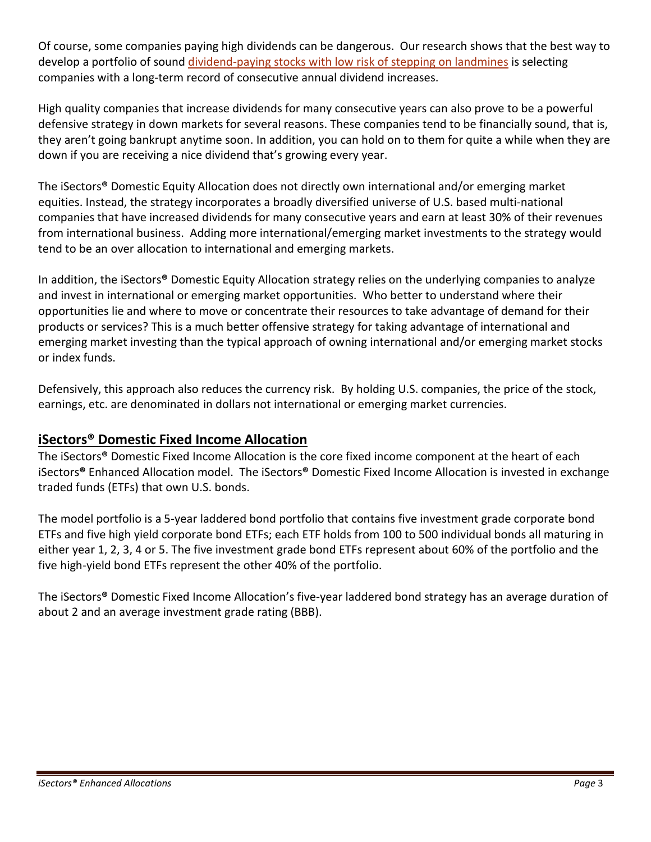Of course, some companies paying high dividends can be dangerous. Our research shows that the best way to develop a portfolio of sound [dividend-paying stocks with low risk of stepping on landmines](https://www.forbes.com/2010/11/02/bp-ishares-portfolio-intelligent-investing-dividend.html#4b8c4d5d3f3c) is selecting companies with a long-term record of consecutive annual dividend increases.

High quality companies that increase dividends for many consecutive years can also prove to be a powerful defensive strategy in down markets for several reasons. These companies tend to be financially sound, that is, they aren't going bankrupt anytime soon. In addition, you can hold on to them for quite a while when they are down if you are receiving a nice dividend that's growing every year.

The iSectors**®** Domestic Equity Allocation does not directly own international and/or emerging market equities. Instead, the strategy incorporates a broadly diversified universe of U.S. based multi-national companies that have increased dividends for many consecutive years and earn at least 30% of their revenues from international business. Adding more international/emerging market investments to the strategy would tend to be an over allocation to international and emerging markets.

In addition, the iSectors**®** Domestic Equity Allocation strategy relies on the underlying companies to analyze and invest in international or emerging market opportunities. Who better to understand where their opportunities lie and where to move or concentrate their resources to take advantage of demand for their products or services? This is a much better offensive strategy for taking advantage of international and emerging market investing than the typical approach of owning international and/or emerging market stocks or index funds.

Defensively, this approach also reduces the currency risk. By holding U.S. companies, the price of the stock, earnings, etc. are denominated in dollars not international or emerging market currencies.

## **iSectors® Domestic Fixed Income Allocation**

The iSectors**®** Domestic Fixed Income Allocation is the core fixed income component at the heart of each iSectors**®** Enhanced Allocation model. The iSectors**®** Domestic Fixed Income Allocation is invested in exchange traded funds (ETFs) that own U.S. bonds.

The model portfolio is a 5-year laddered bond portfolio that contains five investment grade corporate bond ETFs and five high yield corporate bond ETFs; each ETF holds from 100 to 500 individual bonds all maturing in either year 1, 2, 3, 4 or 5. The five investment grade bond ETFs represent about 60% of the portfolio and the five high-yield bond ETFs represent the other 40% of the portfolio.

The iSectors**®** Domestic Fixed Income Allocation's five-year laddered bond strategy has an average duration of about 2 and an average investment grade rating (BBB).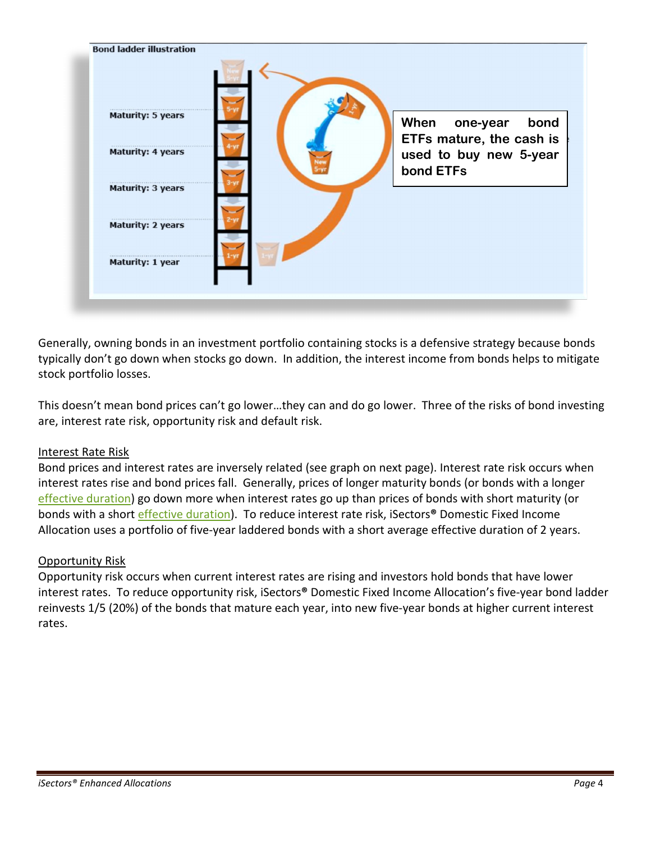

Generally, owning bonds in an investment portfolio containing stocks is a defensive strategy because bonds typically don't go down when stocks go down. In addition, the interest income from bonds helps to mitigate stock portfolio losses.

This doesn't mean bond prices can't go lower…they can and do go lower. Three of the risks of bond investing are, interest rate risk, opportunity risk and default risk.

## Interest Rate Risk

Bond prices and interest rates are inversely related (see graph on next page). Interest rate risk occurs when interest rates rise and bond prices fall. Generally, prices of longer maturity bonds (or bonds with a longer [effective duration\)](https://www.investopedia.com/terms/e/effectiveduration.asp) go down more when interest rates go up than prices of bonds with short maturity (or bonds with a shor[t effective duration\)](https://www.investopedia.com/terms/e/effectiveduration.asp). To reduce interest rate risk, iSectors**®** Domestic Fixed Income Allocation uses a portfolio of five-year laddered bonds with a short average effective duration of 2 years.

## Opportunity Risk

Opportunity risk occurs when current interest rates are rising and investors hold bonds that have lower interest rates. To reduce opportunity risk, iSectors**®** Domestic Fixed Income Allocation's five-year bond ladder reinvests 1/5 (20%) of the bonds that mature each year, into new five-year bonds at higher current interest rates.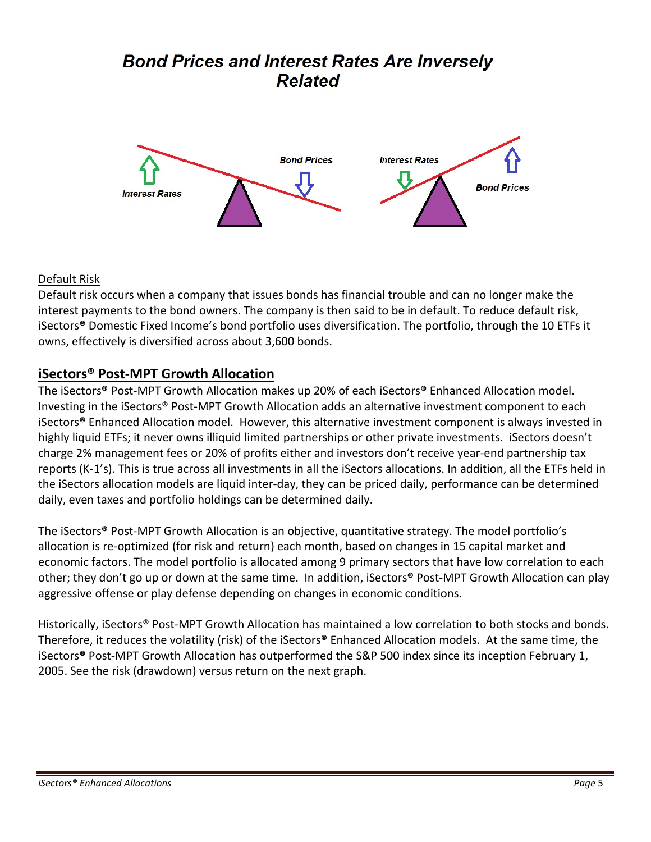## **Bond Prices and Interest Rates Are Inversely Related**



## Default Risk

Default risk occurs when a company that issues bonds has financial trouble and can no longer make the interest payments to the bond owners. The company is then said to be in default. To reduce default risk, iSectors**®** Domestic Fixed Income's bond portfolio uses diversification. The portfolio, through the 10 ETFs it owns, effectively is diversified across about 3,600 bonds.

## **iSectors® Post-MPT Growth Allocation**

The iSectors**®** Post-MPT Growth Allocation makes up 20% of each iSectors**®** Enhanced Allocation model. Investing in the iSectors**®** Post-MPT Growth Allocation adds an alternative investment component to each iSectors**®** Enhanced Allocation model. However, this alternative investment component is always invested in highly liquid ETFs; it never owns illiquid limited partnerships or other private investments. iSectors doesn't charge 2% management fees or 20% of profits either and investors don't receive year-end partnership tax reports (K-1's). This is true across all investments in all the iSectors allocations. In addition, all the ETFs held in the iSectors allocation models are liquid inter-day, they can be priced daily, performance can be determined daily, even taxes and portfolio holdings can be determined daily.

The iSectors**®** Post-MPT Growth Allocation is an objective, quantitative strategy. The model portfolio's allocation is re-optimized (for risk and return) each month, based on changes in 15 capital market and economic factors. The model portfolio is allocated among 9 primary sectors that have low correlation to each other; they don't go up or down at the same time. In addition, iSectors**®** Post-MPT Growth Allocation can play aggressive offense or play defense depending on changes in economic conditions.

Historically, iSectors**®** Post-MPT Growth Allocation has maintained a low correlation to both stocks and bonds. Therefore, it reduces the volatility (risk) of the iSectors**®** Enhanced Allocation models. At the same time, the iSectors**®** Post-MPT Growth Allocation has outperformed the S&P 500 index since its inception February 1, 2005. See the risk (drawdown) versus return on the next graph.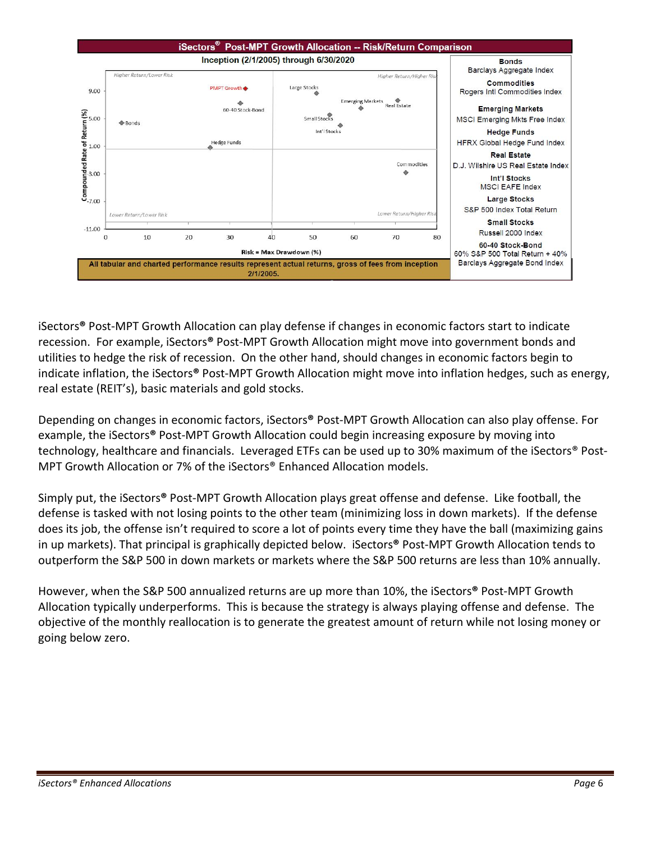

iSectors**®** Post-MPT Growth Allocation can play defense if changes in economic factors start to indicate recession. For example, iSectors**®** Post-MPT Growth Allocation might move into government bonds and utilities to hedge the risk of recession. On the other hand, should changes in economic factors begin to indicate inflation, the iSectors**®** Post-MPT Growth Allocation might move into inflation hedges, such as energy, real estate (REIT's), basic materials and gold stocks.

Depending on changes in economic factors, iSectors**®** Post-MPT Growth Allocation can also play offense. For example, the iSectors**®** Post-MPT Growth Allocation could begin increasing exposure by moving into technology, healthcare and financials. Leveraged ETFs can be used up to 30% maximum of the iSectors® Post-MPT Growth Allocation or 7% of the iSectors® Enhanced Allocation models.

Simply put, the iSectors**®** Post-MPT Growth Allocation plays great offense and defense. Like football, the defense is tasked with not losing points to the other team (minimizing loss in down markets). If the defense does its job, the offense isn't required to score a lot of points every time they have the ball (maximizing gains in up markets). That principal is graphically depicted below. iSectors**®** Post-MPT Growth Allocation tends to outperform the S&P 500 in down markets or markets where the S&P 500 returns are less than 10% annually.

However, when the S&P 500 annualized returns are up more than 10%, the iSectors**®** Post-MPT Growth Allocation typically underperforms. This is because the strategy is always playing offense and defense. The objective of the monthly reallocation is to generate the greatest amount of return while not losing money or going below zero.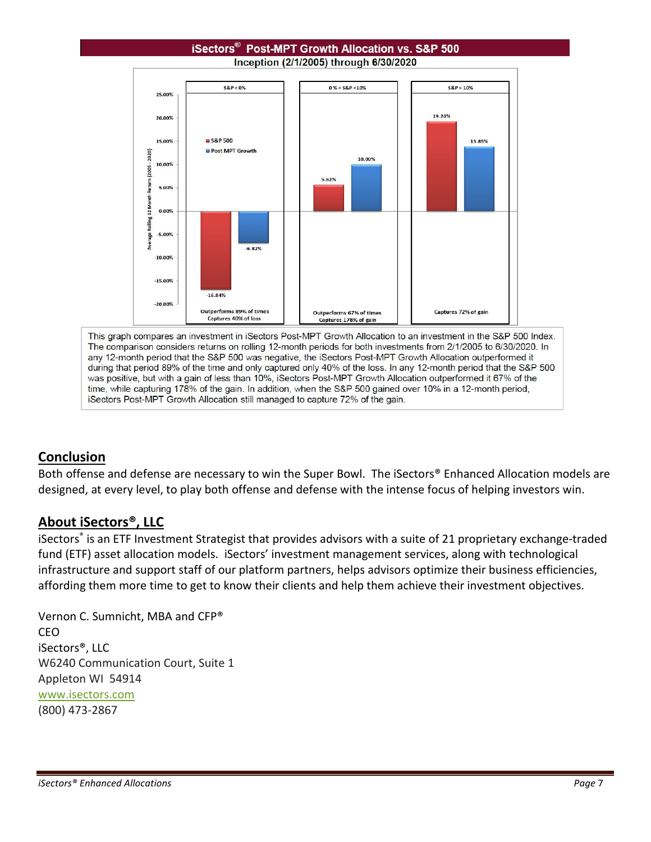#### iSectors<sup>®</sup> Post-MPT Growth Allocation vs. S&P 500 Inception (2/1/2005) through 6/30/2020  $S\&P < 0\%$  $0\% < S&P < 10\%$  $S\&P > 10\%$ 25.00% 19.24% 20.00% **B** S&P 500 13.85% 15.00% Post MPT Growth Return (2005 - 2020 10.00% 10.00% 5.62% 5.00% Month 0.00%  $\overline{2}$ alline  $-5.00%$ werage  $-6.82%$  $-10.00%$  $-15.00%$  $-16.84%$  $-20.00%$ Outperforms 89% of times Captures 72% of gain

This graph compares an investment in iSectors Post-MPT Growth Allocation to an investment in the S&P 500 Index. The comparison considers returns on rolling 12-month periods for both investments from 2/1/2005 to 6/30/2020. In any 12-month period that the S&P 500 was negative, the iSectors Post-MPT Growth Allocation outperformed it during that period 89% of the time and only captured only 40% of the loss. In any 12-month period that the S&P 500 was positive, but with a gain of less than 10%, iSectors Post-MPT Growth Allocation outperformed it 67% of the time, while capturing 178% of the gain. In addition, when the S&P 500 gained over 10% in a 12-month period, iSectors Post-MPT Growth Allocation still managed to capture 72% of the gain.

Captures 40% of loss

Outperforms 67% of times

Captures 178% of gain

## **Conclusion**

Both offense and defense are necessary to win the Super Bowl. The iSectors® Enhanced Allocation models are designed, at every level, to play both offense and defense with the intense focus of helping investors win.

## **About iSectors®, LLC**

iSectors® is an ETF Investment Strategist that provides advisors with a suite of 21 proprietary exchange-traded fund (ETF) asset allocation models. iSectors' investment management services, along with technological infrastructure and support staff of our platform partners, helps advisors optimize their business efficiencies, affording them more time to get to know their clients and help them achieve their investment objectives.

Vernon C. Sumnicht, MBA and CFP® CEO iSectors®, LLC W6240 Communication Court, Suite 1 Appleton WI 54914 [www.isectors.com](http://www.isectors.com/) (800) 473-2867